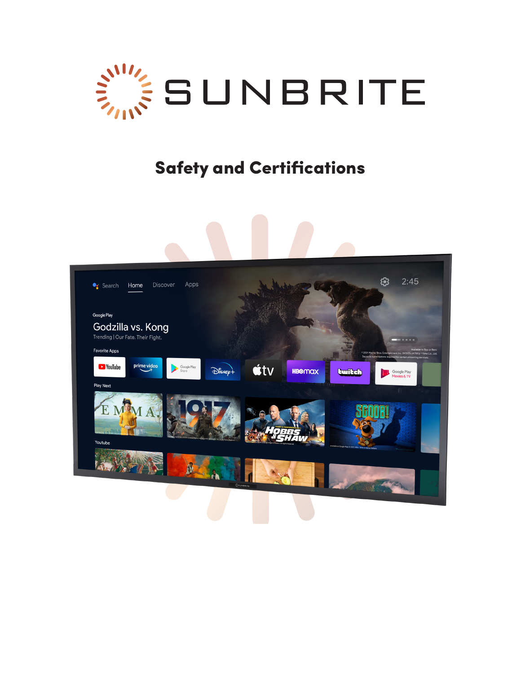

# Safety and Certifications

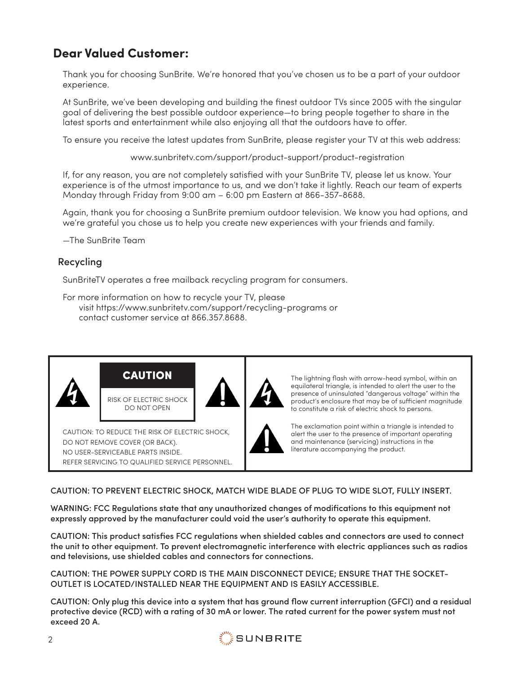## **Dear Valued Customer:**

Thank you for choosing SunBrite. We're honored that you've chosen us to be a part of your outdoor experience.

At SunBrite, we've been developing and building the finest outdoor TVs since 2005 with the singular goal of delivering the best possible outdoor experience—to bring people together to share in the latest sports and entertainment while also enjoying all that the outdoors have to offer.

To ensure you receive the latest updates from SunBrite, please register your TV at this web address:

www.sunbritetv.com/support/product-support/product-registration

If, for any reason, you are not completely satisfied with your SunBrite TV, please let us know. Your experience is of the utmost importance to us, and we don't take it lightly. Reach our team of experts Monday through Friday from 9:00 am – 6:00 pm Eastern at 866-357-8688.

Again, thank you for choosing a SunBrite premium outdoor television. We know you had options, and we're grateful you chose us to help you create new experiences with your friends and family.

—The SunBrite Team

## Recycling

SunBriteTV operates a free mailback recycling program for consumers.

For more information on how to recycle your TV, please visit https://www.sunbritetv.com/support/recycling-programs or contact customer service at 866.357.8688.



## CAUTION: TO PREVENT ELECTRIC SHOCK, MATCH WIDE BLADE OF PLUG TO WIDE SLOT, FULLY INSERT.

WARNING: FCC Regulations state that any unauthorized changes of modifications to this equipment not expressly approved by the manufacturer could void the user's authority to operate this equipment.

CAUTION: This product satisfies FCC regulations when shielded cables and connectors are used to connect the unit to other equipment. To prevent electromagnetic interference with electric appliances such as radios and televisions, use shielded cables and connectors for connections.

CAUTION: THE POWER SUPPLY CORD IS THE MAIN DISCONNECT DEVICE; ENSURE THAT THE SOCKET-OUTLET IS LOCATED/INSTALLED NEAR THE EQUIPMENT AND IS EASILY ACCESSIBLE.

CAUTION: Only plug this device into a system that has ground flow current interruption (GFCI) and a residual protective device (RCD) with a rating of 30 mA or lower. The rated current for the power system must not exceed 20 A.

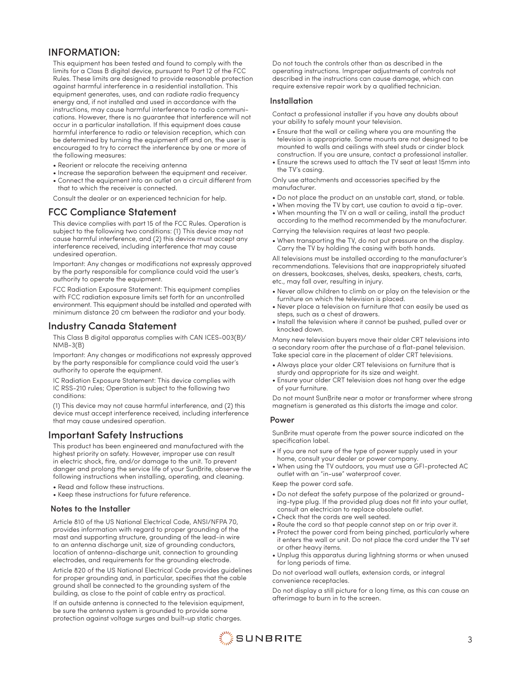## INFORMATION:

This equipment has been tested and found to comply with the limits for a Class B digital device, pursuant to Part 12 of the FCC Rules. These limits are designed to provide reasonable protection against harmful interference in a residential installation. This equipment generates, uses, and can radiate radio frequency energy and, if not installed and used in accordance with the instructions, may cause harmful interference to radio communications. However, there is no guarantee that interference will not occur in a particular installation. If this equipment does cause harmful interference to radio or television reception, which can be determined by turning the equipment off and on, the user is encouraged to try to correct the interference by one or more of the following measures:

- Reorient or relocate the receiving antenna
- Increase the separation between the equipment and receiver.
- Connect the equipment into an outlet on a circuit different from that to which the receiver is connected.

Consult the dealer or an experienced technician for help.

## FCC Compliance Statement

This device complies with part 15 of the FCC Rules. Operation is subject to the following two conditions: (1) This device may not cause harmful interference, and (2) this device must accept any interference received, including interference that may cause undesired operation.

Important: Any changes or modifications not expressly approved by the party responsible for compliance could void the user's authority to operate the equipment.

FCC Radiation Exposure Statement: This equipment complies with FCC radiation exposure limits set forth for an uncontrolled environment. This equipment should be installed and operated with minimum distance 20 cm between the radiator and your body.

## Industry Canada Statement

This Class B digital apparatus complies with CAN ICES-003(B)/ NMB-3(B)

Important: Any changes or modifications not expressly approved by the party responsible for compliance could void the user's authority to operate the equipment.

IC Radiation Exposure Statement: This device complies with IC RSS-210 rules; Operation is subject to the following two conditions:

(1) This device may not cause harmful interference, and (2) this device must accept interference received, including interference that may cause undesired operation.

## Important Safety Instructions

This product has been engineered and manufactured with the highest priority on safety. However, improper use can result in electric shock, fire, and/or damage to the unit. To prevent danger and prolong the service life of your SunBrite, observe the following instructions when installing, operating, and cleaning.

- Read and follow these instructions.
- Keep these instructions for future reference.

#### Notes to the Installer

Article 810 of the US National Electrical Code, ANSI/NFPA 70, provides information with regard to proper grounding of the mast and supporting structure, grounding of the lead-in wire to an antenna discharge unit, size of grounding conductors, location of antenna-discharge unit, connection to grounding electrodes, and requirements for the grounding electrode.

Article 820 of the US National Electrical Code provides guidelines for proper grounding and, in particular, specifies that the cable ground shall be connected to the grounding system of the building, as close to the point of cable entry as practical.

If an outside antenna is connected to the television equipment, be sure the antenna system is grounded to provide some protection against voltage surges and built-up static charges.

Do not touch the controls other than as described in the operating instructions. Improper adjustments of controls not described in the instructions can cause damage, which can require extensive repair work by a qualified technician.

#### Installation

Contact a professional installer if you have any doubts about your ability to safely mount your television.

- Ensure that the wall or ceiling where you are mounting the television is appropriate. Some mounts are not designed to be mounted to walls and ceilings with steel studs or cinder block construction. If you are unsure, contact a professional installer.
- Ensure the screws used to attach the TV seat at least 15mm into the TV's casing.

Only use attachments and accessories specified by the manufacturer.

- Do not place the product on an unstable cart, stand, or table.
- When moving the TV by cart, use caution to avoid a tip-over.
- When mounting the TV on a wall or ceiling, install the product according to the method recommended by the manufacturer.

Carrying the television requires at least two people.

• When transporting the TV, do not put pressure on the display. Carry the TV by holding the casing with both hands.

All televisions must be installed according to the manufacturer's recommendations. Televisions that are inappropriately situated on dressers, bookcases, shelves, desks, speakers, chests, carts, etc., may fall over, resulting in injury.

- Never allow children to climb on or play on the television or the furniture on which the television is placed.
- Never place a television on furniture that can easily be used as steps, such as a chest of drawers.
- Install the television where it cannot be pushed, pulled over or knocked down.

Many new television buyers move their older CRT televisions into a secondary room after the purchase of a flat-panel television. Take special care in the placement of older CRT televisions.

- Always place your older CRT televisions on furniture that is sturdy and appropriate for its size and weight.
- Ensure your older CRT television does not hang over the edge of your furniture.

Do not mount SunBrite near a motor or transformer where strong magnetism is generated as this distorts the image and color.

#### Power

SunBrite must operate from the power source indicated on the specification label.

- If you are not sure of the type of power supply used in your home, consult your dealer or power company.
- When using the TV outdoors, you must use a GFI-protected AC outlet with an "in-use" waterproof cover.

Keep the power cord safe.

- Do not defeat the safety purpose of the polarized or grounding-type plug. If the provided plug does not fit into your outlet, consult an electrician to replace obsolete outlet.
- Check that the cords are well seated.
- Route the cord so that people cannot step on or trip over it.
- Protect the power cord from being pinched, particularly where it enters the wall or unit. Do not place the cord under the TV set or other heavy items.
- Unplug this apparatus during lightning storms or when unused for long periods of time.

Do not overload wall outlets, extension cords, or integral convenience receptacles.

Do not display a still picture for a long time, as this can cause an afterimage to burn in to the screen.